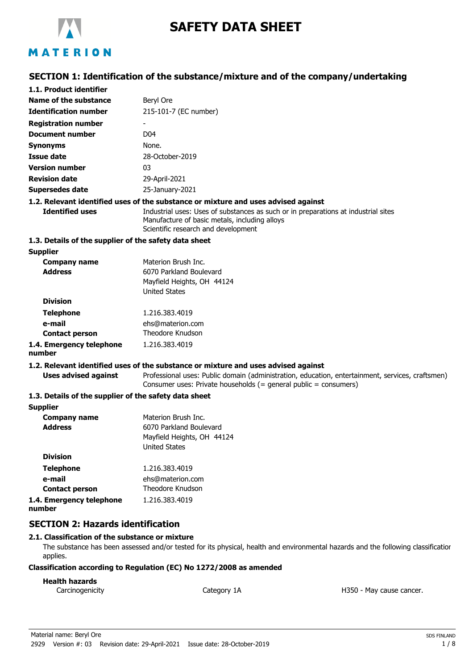

# **SAFETY DATA SHEET**

## **SECTION 1: Identification of the substance/mixture and of the company/undertaking**

| 1.1. Product identifier                               |                                                                                                                                                                            |
|-------------------------------------------------------|----------------------------------------------------------------------------------------------------------------------------------------------------------------------------|
| Name of the substance                                 | Beryl Ore                                                                                                                                                                  |
| <b>Identification number</b>                          | 215-101-7 (EC number)                                                                                                                                                      |
| <b>Registration number</b>                            |                                                                                                                                                                            |
| <b>Document number</b>                                | D <sub>04</sub>                                                                                                                                                            |
| <b>Synonyms</b>                                       | None.                                                                                                                                                                      |
| <b>Issue date</b>                                     | 28-October-2019                                                                                                                                                            |
| <b>Version number</b>                                 | 03                                                                                                                                                                         |
| <b>Revision date</b>                                  | 29-April-2021                                                                                                                                                              |
| <b>Supersedes date</b>                                | 25-January-2021                                                                                                                                                            |
|                                                       | 1.2. Relevant identified uses of the substance or mixture and uses advised against                                                                                         |
| <b>Identified uses</b>                                | Industrial uses: Uses of substances as such or in preparations at industrial sites<br>Manufacture of basic metals, including alloys<br>Scientific research and development |
| 1.3. Details of the supplier of the safety data sheet |                                                                                                                                                                            |
| <b>Supplier</b>                                       |                                                                                                                                                                            |
| <b>Company name</b>                                   | Materion Brush Inc.                                                                                                                                                        |
| <b>Address</b>                                        | 6070 Parkland Boulevard                                                                                                                                                    |
|                                                       | Mayfield Heights, OH 44124<br><b>United States</b>                                                                                                                         |
| <b>Division</b>                                       |                                                                                                                                                                            |
| <b>Telephone</b>                                      | 1.216.383.4019                                                                                                                                                             |
| e-mail                                                | ehs@materion.com                                                                                                                                                           |
| <b>Contact person</b>                                 | Theodore Knudson                                                                                                                                                           |
| 1.4. Emergency telephone<br>number                    | 1.216.383.4019                                                                                                                                                             |
|                                                       | 1.2. Relevant identified uses of the substance or mixture and uses advised against                                                                                         |
| <b>Uses advised against</b>                           | Professional uses: Public domain (administration, education, entertainment, services, craftsmen)<br>Consumer uses: Private households (= general public = consumers)       |
| 1.3. Details of the supplier of the safety data sheet |                                                                                                                                                                            |
| <b>Supplier</b>                                       |                                                                                                                                                                            |
| <b>Company name</b>                                   | Materion Brush Inc.                                                                                                                                                        |
| <b>Address</b>                                        | 6070 Parkland Boulevard                                                                                                                                                    |
|                                                       | Mayfield Heights, OH 44124                                                                                                                                                 |
| <b>Division</b>                                       | <b>United States</b>                                                                                                                                                       |
| Talanhana                                             | 1.210.202.4010                                                                                                                                                             |
|                                                       |                                                                                                                                                                            |

| <b>Telephone</b>         | 1.216.383.4019   |
|--------------------------|------------------|
| e-mail                   | ehs@materion.com |
| <b>Contact person</b>    | Theodore Knudson |
| 1.4. Emergency telephone | 1.216.383.4019   |
| number                   |                  |

## **SECTION 2: Hazards identification**

#### **2.1. Classification of the substance or mixture**

The substance has been assessed and/or tested for its physical, health and environmental hazards and the following classification applies.

#### **Classification according to Regulation (EC) No 1272/2008 as amended**

#### **Health hazards**

Carcinogenicity **Category 1A** Category 1A **Carcinogenicity** H350 - May cause cancer.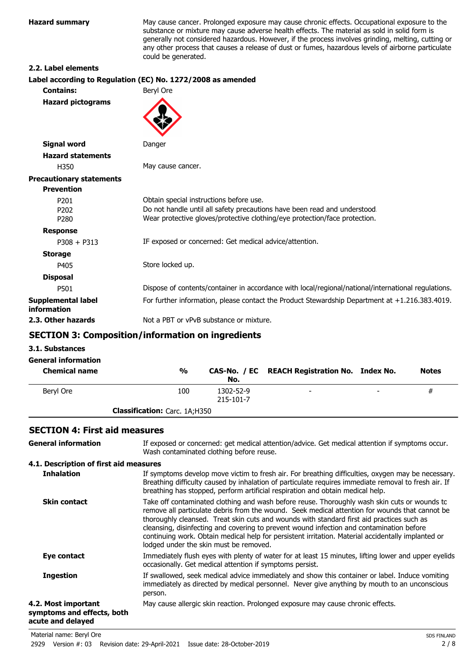**Hazard summary** May cause cancer. Prolonged exposure may cause chronic effects. Occupational exposure to the substance or mixture may cause adverse health effects. The material as sold in solid form is generally not considered hazardous. However, if the process involves grinding, melting, cutting or any other process that causes a release of dust or fumes, hazardous levels of airborne particulate could be generated.

#### **2.2. Label elements**

| Label according to Regulation (EC) No. 1272/2008 as amended                                                                                             |
|---------------------------------------------------------------------------------------------------------------------------------------------------------|
| Beryl Ore                                                                                                                                               |
|                                                                                                                                                         |
| Danger                                                                                                                                                  |
|                                                                                                                                                         |
| May cause cancer.                                                                                                                                       |
|                                                                                                                                                         |
|                                                                                                                                                         |
| Obtain special instructions before use.                                                                                                                 |
| Do not handle until all safety precautions have been read and understood.<br>Wear protective gloves/protective clothing/eye protection/face protection. |
|                                                                                                                                                         |
| IF exposed or concerned: Get medical advice/attention.                                                                                                  |
|                                                                                                                                                         |
| Store locked up.                                                                                                                                        |
|                                                                                                                                                         |
| Dispose of contents/container in accordance with local/regional/national/international regulations.                                                     |
| For further information, please contact the Product Stewardship Department at +1.216.383.4019.                                                          |
| Not a PBT or vPvB substance or mixture.                                                                                                                 |
|                                                                                                                                                         |

## **SECTION 3: Composition/information on ingredients**

#### **3.1. Substances**

| <b>General information</b><br><b>Chemical name</b> | $\frac{0}{0}$                        | No.                    | CAS-No. / EC REACH Registration No. Index No. |   | <b>Notes</b> |
|----------------------------------------------------|--------------------------------------|------------------------|-----------------------------------------------|---|--------------|
| Beryl Ore                                          | 100                                  | 1302-52-9<br>215-101-7 | $\overline{\phantom{0}}$                      | - | #            |
|                                                    | <b>Classification:</b> Carc. 1A;H350 |                        |                                               |   |              |

### **SECTION 4: First aid measures**

| <b>General information</b>                                             | If exposed or concerned: get medical attention/advice. Get medical attention if symptoms occur.<br>Wash contaminated clothing before reuse.                                                                                                                                                                                                                                                                                                                                                                                             |
|------------------------------------------------------------------------|-----------------------------------------------------------------------------------------------------------------------------------------------------------------------------------------------------------------------------------------------------------------------------------------------------------------------------------------------------------------------------------------------------------------------------------------------------------------------------------------------------------------------------------------|
| 4.1. Description of first aid measures                                 |                                                                                                                                                                                                                                                                                                                                                                                                                                                                                                                                         |
| <b>Inhalation</b>                                                      | If symptoms develop move victim to fresh air. For breathing difficulties, oxygen may be necessary.<br>Breathing difficulty caused by inhalation of particulate requires immediate removal to fresh air. If<br>breathing has stopped, perform artificial respiration and obtain medical help.                                                                                                                                                                                                                                            |
| <b>Skin contact</b>                                                    | Take off contaminated clothing and wash before reuse. Thoroughly wash skin cuts or wounds to<br>remove all particulate debris from the wound. Seek medical attention for wounds that cannot be<br>thoroughly cleansed. Treat skin cuts and wounds with standard first aid practices such as<br>cleansing, disinfecting and covering to prevent wound infection and contamination before<br>continuing work. Obtain medical help for persistent irritation. Material accidentally implanted or<br>lodged under the skin must be removed. |
| Eye contact                                                            | Immediately flush eyes with plenty of water for at least 15 minutes, lifting lower and upper eyelids<br>occasionally. Get medical attention if symptoms persist.                                                                                                                                                                                                                                                                                                                                                                        |
| <b>Ingestion</b>                                                       | If swallowed, seek medical advice immediately and show this container or label. Induce vomiting<br>immediately as directed by medical personnel. Never give anything by mouth to an unconscious<br>person.                                                                                                                                                                                                                                                                                                                              |
| 4.2. Most important<br>symptoms and effects, both<br>acute and delayed | May cause allergic skin reaction. Prolonged exposure may cause chronic effects.                                                                                                                                                                                                                                                                                                                                                                                                                                                         |
|                                                                        |                                                                                                                                                                                                                                                                                                                                                                                                                                                                                                                                         |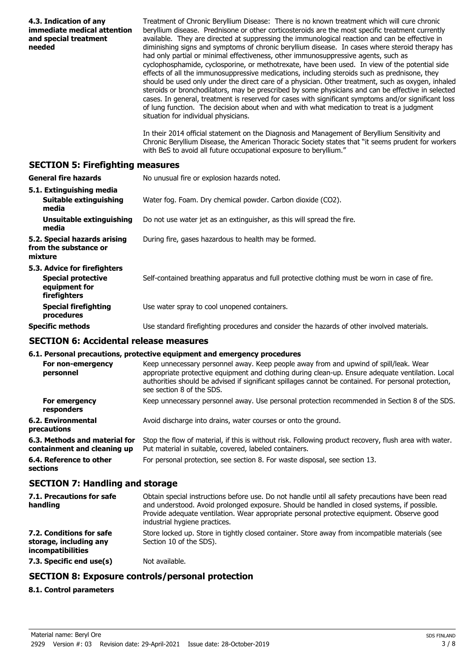| 4.3. Indication of any<br>immediate medical attention<br>and special treatment<br>needed   | Treatment of Chronic Beryllium Disease: There is no known treatment which will cure chronic<br>beryllium disease. Prednisone or other corticosteroids are the most specific treatment currently<br>available. They are directed at suppressing the immunological reaction and can be effective in<br>diminishing signs and symptoms of chronic beryllium disease. In cases where steroid therapy has<br>had only partial or minimal effectiveness, other immunosuppressive agents, such as<br>cyclophosphamide, cyclosporine, or methotrexate, have been used. In view of the potential side<br>effects of all the immunosuppressive medications, including steroids such as prednisone, they<br>should be used only under the direct care of a physician. Other treatment, such as oxygen, inhaled<br>steroids or bronchodilators, may be prescribed by some physicians and can be effective in selected<br>cases. In general, treatment is reserved for cases with significant symptoms and/or significant loss<br>of lung function. The decision about when and with what medication to treat is a judgment<br>situation for individual physicians.<br>In their 2014 official statement on the Diagnosis and Management of Beryllium Sensitivity and<br>Chronic Beryllium Disease, the American Thoracic Society states that "it seems prudent for workers |
|--------------------------------------------------------------------------------------------|---------------------------------------------------------------------------------------------------------------------------------------------------------------------------------------------------------------------------------------------------------------------------------------------------------------------------------------------------------------------------------------------------------------------------------------------------------------------------------------------------------------------------------------------------------------------------------------------------------------------------------------------------------------------------------------------------------------------------------------------------------------------------------------------------------------------------------------------------------------------------------------------------------------------------------------------------------------------------------------------------------------------------------------------------------------------------------------------------------------------------------------------------------------------------------------------------------------------------------------------------------------------------------------------------------------------------------------------------------------|
|                                                                                            | with BeS to avoid all future occupational exposure to beryllium."                                                                                                                                                                                                                                                                                                                                                                                                                                                                                                                                                                                                                                                                                                                                                                                                                                                                                                                                                                                                                                                                                                                                                                                                                                                                                             |
| <b>SECTION 5: Firefighting measures</b>                                                    |                                                                                                                                                                                                                                                                                                                                                                                                                                                                                                                                                                                                                                                                                                                                                                                                                                                                                                                                                                                                                                                                                                                                                                                                                                                                                                                                                               |
| <b>General fire hazards</b>                                                                | No unusual fire or explosion hazards noted.                                                                                                                                                                                                                                                                                                                                                                                                                                                                                                                                                                                                                                                                                                                                                                                                                                                                                                                                                                                                                                                                                                                                                                                                                                                                                                                   |
| 5.1. Extinguishing media<br>Suitable extinguishing<br>media                                | Water fog. Foam. Dry chemical powder. Carbon dioxide (CO2).                                                                                                                                                                                                                                                                                                                                                                                                                                                                                                                                                                                                                                                                                                                                                                                                                                                                                                                                                                                                                                                                                                                                                                                                                                                                                                   |
| <b>Unsuitable extinguishing</b><br>media                                                   | Do not use water jet as an extinguisher, as this will spread the fire.                                                                                                                                                                                                                                                                                                                                                                                                                                                                                                                                                                                                                                                                                                                                                                                                                                                                                                                                                                                                                                                                                                                                                                                                                                                                                        |
| 5.2. Special hazards arising<br>from the substance or<br>mixture                           | During fire, gases hazardous to health may be formed.                                                                                                                                                                                                                                                                                                                                                                                                                                                                                                                                                                                                                                                                                                                                                                                                                                                                                                                                                                                                                                                                                                                                                                                                                                                                                                         |
| 5.3. Advice for firefighters<br><b>Special protective</b><br>equipment for<br>firefighters | Self-contained breathing apparatus and full protective clothing must be worn in case of fire.                                                                                                                                                                                                                                                                                                                                                                                                                                                                                                                                                                                                                                                                                                                                                                                                                                                                                                                                                                                                                                                                                                                                                                                                                                                                 |
| <b>Special firefighting</b><br>procedures                                                  | Use water spray to cool unopened containers.                                                                                                                                                                                                                                                                                                                                                                                                                                                                                                                                                                                                                                                                                                                                                                                                                                                                                                                                                                                                                                                                                                                                                                                                                                                                                                                  |
| <b>Specific methods</b>                                                                    | Use standard firefighting procedures and consider the hazards of other involved materials.                                                                                                                                                                                                                                                                                                                                                                                                                                                                                                                                                                                                                                                                                                                                                                                                                                                                                                                                                                                                                                                                                                                                                                                                                                                                    |
| <b>SECTION 6: Accidental release measures</b>                                              |                                                                                                                                                                                                                                                                                                                                                                                                                                                                                                                                                                                                                                                                                                                                                                                                                                                                                                                                                                                                                                                                                                                                                                                                                                                                                                                                                               |
|                                                                                            | 6.1. Personal precautions, protective equipment and emergency procedures                                                                                                                                                                                                                                                                                                                                                                                                                                                                                                                                                                                                                                                                                                                                                                                                                                                                                                                                                                                                                                                                                                                                                                                                                                                                                      |
| personnel                                                                                  | For non-emergency Keep unnecessary personnel away. Keep people away from and upwind of spill/leak. Wear<br>appropriate protective equipment and clothing during clean-up. Ensure adequate ventilation. Local<br>authorities should be advised if significant spillages cannot be contained. For personal protection,<br>see section 8 of the SDS.                                                                                                                                                                                                                                                                                                                                                                                                                                                                                                                                                                                                                                                                                                                                                                                                                                                                                                                                                                                                             |
| For emergency<br>responders                                                                | Keep unnecessary personnel away. Use personal protection recommended in Section 8 of the SDS.                                                                                                                                                                                                                                                                                                                                                                                                                                                                                                                                                                                                                                                                                                                                                                                                                                                                                                                                                                                                                                                                                                                                                                                                                                                                 |
| <b>6.2. Environmental</b><br>precautions                                                   | Avoid discharge into drains, water courses or onto the ground.                                                                                                                                                                                                                                                                                                                                                                                                                                                                                                                                                                                                                                                                                                                                                                                                                                                                                                                                                                                                                                                                                                                                                                                                                                                                                                |
| 6.3. Methods and material for<br>containment and cleaning up                               | Stop the flow of material, if this is without risk. Following product recovery, flush area with water.<br>Put material in suitable, covered, labeled containers.                                                                                                                                                                                                                                                                                                                                                                                                                                                                                                                                                                                                                                                                                                                                                                                                                                                                                                                                                                                                                                                                                                                                                                                              |
| 6.4. Reference to other<br>sections                                                        | For personal protection, see section 8. For waste disposal, see section 13.                                                                                                                                                                                                                                                                                                                                                                                                                                                                                                                                                                                                                                                                                                                                                                                                                                                                                                                                                                                                                                                                                                                                                                                                                                                                                   |
| <b>SECTION 7: Handling and storage</b>                                                     |                                                                                                                                                                                                                                                                                                                                                                                                                                                                                                                                                                                                                                                                                                                                                                                                                                                                                                                                                                                                                                                                                                                                                                                                                                                                                                                                                               |
| 7.1. Precautions for safe<br>handling                                                      | Obtain special instructions before use. Do not handle until all safety precautions have been read<br>and understood. Avoid prolonged exposure. Should be handled in closed systems, if possible.<br>Provide adequate ventilation. Wear appropriate personal protective equipment. Observe good<br>industrial hygiene practices.                                                                                                                                                                                                                                                                                                                                                                                                                                                                                                                                                                                                                                                                                                                                                                                                                                                                                                                                                                                                                               |
| 7.2. Conditions for safe<br>storage, including any<br>incompatibilities                    | Store locked up. Store in tightly closed container. Store away from incompatible materials (see<br>Section 10 of the SDS).                                                                                                                                                                                                                                                                                                                                                                                                                                                                                                                                                                                                                                                                                                                                                                                                                                                                                                                                                                                                                                                                                                                                                                                                                                    |
| 7.3. Specific end use(s)                                                                   | Not available.                                                                                                                                                                                                                                                                                                                                                                                                                                                                                                                                                                                                                                                                                                                                                                                                                                                                                                                                                                                                                                                                                                                                                                                                                                                                                                                                                |
|                                                                                            | <b>SECTION 8: Exposure controls/personal protection</b>                                                                                                                                                                                                                                                                                                                                                                                                                                                                                                                                                                                                                                                                                                                                                                                                                                                                                                                                                                                                                                                                                                                                                                                                                                                                                                       |
| 8.1. Control parameters                                                                    |                                                                                                                                                                                                                                                                                                                                                                                                                                                                                                                                                                                                                                                                                                                                                                                                                                                                                                                                                                                                                                                                                                                                                                                                                                                                                                                                                               |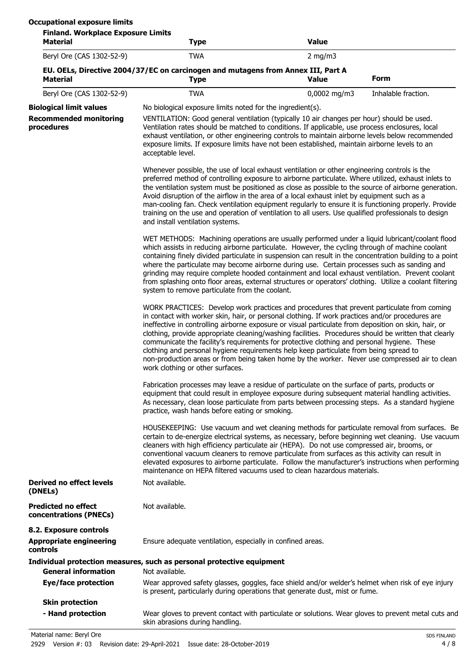| <b>Finland. Workplace Exposure Limits</b><br><b>Material</b>                  | <b>Type</b>                                                                                                                                                                                                                                                                                                                                                                                                                                                                                                                                                                                                                                                                                                                                  | <b>Value</b>   |                     |  |
|-------------------------------------------------------------------------------|----------------------------------------------------------------------------------------------------------------------------------------------------------------------------------------------------------------------------------------------------------------------------------------------------------------------------------------------------------------------------------------------------------------------------------------------------------------------------------------------------------------------------------------------------------------------------------------------------------------------------------------------------------------------------------------------------------------------------------------------|----------------|---------------------|--|
| Beryl Ore (CAS 1302-52-9)                                                     | <b>TWA</b>                                                                                                                                                                                                                                                                                                                                                                                                                                                                                                                                                                                                                                                                                                                                   | 2 mg/m $3$     |                     |  |
| <b>Material</b>                                                               | EU. OELs, Directive 2004/37/EC on carcinogen and mutagens from Annex III, Part A<br><b>Type</b>                                                                                                                                                                                                                                                                                                                                                                                                                                                                                                                                                                                                                                              | <b>Value</b>   | <b>Form</b>         |  |
| Beryl Ore (CAS 1302-52-9)                                                     | <b>TWA</b>                                                                                                                                                                                                                                                                                                                                                                                                                                                                                                                                                                                                                                                                                                                                   | $0,0002$ mg/m3 | Inhalable fraction. |  |
| <b>Biological limit values</b><br><b>Recommended monitoring</b><br>procedures | No biological exposure limits noted for the ingredient(s).<br>VENTILATION: Good general ventilation (typically 10 air changes per hour) should be used.<br>Ventilation rates should be matched to conditions. If applicable, use process enclosures, local<br>exhaust ventilation, or other engineering controls to maintain airborne levels below recommended<br>exposure limits. If exposure limits have not been established, maintain airborne levels to an<br>acceptable level.                                                                                                                                                                                                                                                         |                |                     |  |
|                                                                               | Whenever possible, the use of local exhaust ventilation or other engineering controls is the<br>preferred method of controlling exposure to airborne particulate. Where utilized, exhaust inlets to<br>the ventilation system must be positioned as close as possible to the source of airborne generation.<br>Avoid disruption of the airflow in the area of a local exhaust inlet by equipment such as a<br>man-cooling fan. Check ventilation equipment regularly to ensure it is functioning properly. Provide<br>training on the use and operation of ventilation to all users. Use qualified professionals to design<br>and install ventilation systems.                                                                               |                |                     |  |
|                                                                               | WET METHODS: Machining operations are usually performed under a liquid lubricant/coolant flood<br>which assists in reducing airborne particulate. However, the cycling through of machine coolant<br>containing finely divided particulate in suspension can result in the concentration building to a point<br>where the particulate may become airborne during use. Certain processes such as sanding and<br>grinding may require complete hooded containment and local exhaust ventilation. Prevent coolant<br>from splashing onto floor areas, external structures or operators' clothing. Utilize a coolant filtering<br>system to remove particulate from the coolant.                                                                 |                |                     |  |
|                                                                               | WORK PRACTICES: Develop work practices and procedures that prevent particulate from coming<br>in contact with worker skin, hair, or personal clothing. If work practices and/or procedures are<br>ineffective in controlling airborne exposure or visual particulate from deposition on skin, hair, or<br>clothing, provide appropriate cleaning/washing facilities. Procedures should be written that clearly<br>communicate the facility's requirements for protective clothing and personal hygiene. These<br>clothing and personal hygiene requirements help keep particulate from being spread to<br>non-production areas or from being taken home by the worker. Never use compressed air to clean<br>work clothing or other surfaces. |                |                     |  |
|                                                                               | Fabrication processes may leave a residue of particulate on the surface of parts, products or<br>equipment that could result in employee exposure during subsequent material handling activities.<br>As necessary, clean loose particulate from parts between processing steps. As a standard hygiene<br>practice, wash hands before eating or smoking.                                                                                                                                                                                                                                                                                                                                                                                      |                |                     |  |
|                                                                               | HOUSEKEEPING: Use vacuum and wet cleaning methods for particulate removal from surfaces. Be<br>certain to de-energize electrical systems, as necessary, before beginning wet cleaning. Use vacuum<br>cleaners with high efficiency particulate air (HEPA). Do not use compressed air, brooms, or<br>conventional vacuum cleaners to remove particulate from surfaces as this activity can result in<br>elevated exposures to airborne particulate. Follow the manufacturer's instructions when performing<br>maintenance on HEPA filtered vacuums used to clean hazardous materials.                                                                                                                                                         |                |                     |  |
| <b>Derived no effect levels</b><br>(DNELs)                                    | Not available.                                                                                                                                                                                                                                                                                                                                                                                                                                                                                                                                                                                                                                                                                                                               |                |                     |  |
| <b>Predicted no effect</b><br>concentrations (PNECs)                          | Not available.                                                                                                                                                                                                                                                                                                                                                                                                                                                                                                                                                                                                                                                                                                                               |                |                     |  |
| 8.2. Exposure controls<br><b>Appropriate engineering</b><br>controls          | Ensure adequate ventilation, especially in confined areas.                                                                                                                                                                                                                                                                                                                                                                                                                                                                                                                                                                                                                                                                                   |                |                     |  |
|                                                                               | Individual protection measures, such as personal protective equipment                                                                                                                                                                                                                                                                                                                                                                                                                                                                                                                                                                                                                                                                        |                |                     |  |
| <b>General information</b><br><b>Eye/face protection</b>                      | Not available.<br>Wear approved safety glasses, goggles, face shield and/or welder's helmet when risk of eye injury<br>is present, particularly during operations that generate dust, mist or fume.                                                                                                                                                                                                                                                                                                                                                                                                                                                                                                                                          |                |                     |  |
| <b>Skin protection</b>                                                        |                                                                                                                                                                                                                                                                                                                                                                                                                                                                                                                                                                                                                                                                                                                                              |                |                     |  |
| - Hand protection                                                             | Wear gloves to prevent contact with particulate or solutions. Wear gloves to prevent metal cuts and<br>skin abrasions during handling.                                                                                                                                                                                                                                                                                                                                                                                                                                                                                                                                                                                                       |                |                     |  |

Material name: Beryl Ore Subset of the Subset of the SDS FINLAND SDS FINLAND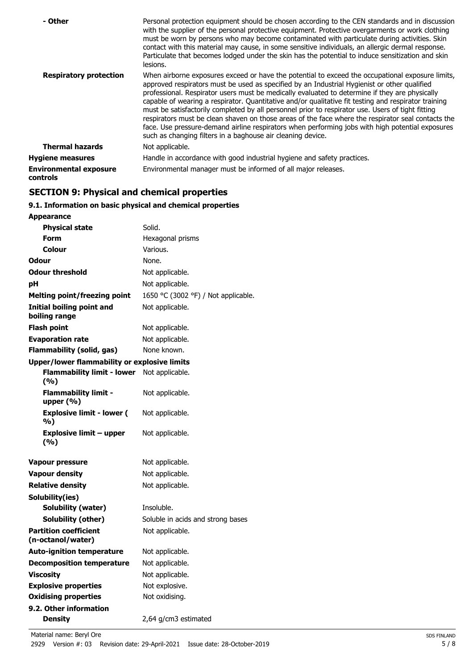| - Other                                          | Personal protection equipment should be chosen according to the CEN standards and in discussion<br>with the supplier of the personal protective equipment. Protective overgarments or work clothing<br>must be worn by persons who may become contaminated with particulate during activities. Skin<br>contact with this material may cause, in some sensitive individuals, an allergic dermal response.<br>Particulate that becomes lodged under the skin has the potential to induce sensitization and skin<br>lesions.                                                                                                                                                                                                                                                                |
|--------------------------------------------------|------------------------------------------------------------------------------------------------------------------------------------------------------------------------------------------------------------------------------------------------------------------------------------------------------------------------------------------------------------------------------------------------------------------------------------------------------------------------------------------------------------------------------------------------------------------------------------------------------------------------------------------------------------------------------------------------------------------------------------------------------------------------------------------|
| <b>Respiratory protection</b>                    | When airborne exposures exceed or have the potential to exceed the occupational exposure limits,<br>approved respirators must be used as specified by an Industrial Hygienist or other qualified<br>professional. Respirator users must be medically evaluated to determine if they are physically<br>capable of wearing a respirator. Quantitative and/or qualitative fit testing and respirator training<br>must be satisfactorily completed by all personnel prior to respirator use. Users of tight fitting<br>respirators must be clean shaven on those areas of the face where the respirator seal contacts the<br>face. Use pressure-demand airline respirators when performing jobs with high potential exposures<br>such as changing filters in a baghouse air cleaning device. |
| <b>Thermal hazards</b>                           | Not applicable.                                                                                                                                                                                                                                                                                                                                                                                                                                                                                                                                                                                                                                                                                                                                                                          |
| <b>Hygiene measures</b>                          | Handle in accordance with good industrial hygiene and safety practices.                                                                                                                                                                                                                                                                                                                                                                                                                                                                                                                                                                                                                                                                                                                  |
| <b>Environmental exposure</b><br><b>controls</b> | Environmental manager must be informed of all major releases.                                                                                                                                                                                                                                                                                                                                                                                                                                                                                                                                                                                                                                                                                                                            |

## **SECTION 9: Physical and chemical properties**

## **9.1. Information on basic physical and chemical properties**

| <b>Appearance</b>                                   |                                     |
|-----------------------------------------------------|-------------------------------------|
| <b>Physical state</b>                               | Solid.                              |
| Form                                                | Hexagonal prisms                    |
| Colour                                              | Various.                            |
| Odour                                               | None.                               |
| <b>Odour threshold</b>                              | Not applicable.                     |
| рH                                                  | Not applicable.                     |
| <b>Melting point/freezing point</b>                 | 1650 °C (3002 °F) / Not applicable. |
| Initial boiling point and<br>boiling range          | Not applicable.                     |
| Flash point                                         | Not applicable.                     |
| <b>Evaporation rate</b>                             | Not applicable.                     |
| <b>Flammability (solid, gas)</b>                    | None known.                         |
| <b>Upper/lower flammability or explosive limits</b> |                                     |
| <b>Flammability limit - lower</b><br>(%)            | Not applicable.                     |
| <b>Flammability limit -</b><br>upper $(\% )$        | Not applicable.                     |
| <b>Explosive limit - lower (</b><br>%)              | Not applicable.                     |
| <b>Explosive limit - upper</b><br>(%)               | Not applicable.                     |
| <b>Vapour pressure</b>                              | Not applicable.                     |
| <b>Vapour density</b>                               | Not applicable.                     |
| <b>Relative density</b>                             | Not applicable.                     |
| Solubility(ies)                                     |                                     |
| <b>Solubility (water)</b>                           | Insoluble.                          |
| Solubility (other)                                  | Soluble in acids and strong bases   |
| <b>Partition coefficient</b><br>(n-octanol/water)   | Not applicable.                     |
| <b>Auto-ignition temperature</b>                    | Not applicable.                     |
| <b>Decomposition temperature</b>                    | Not applicable.                     |
| <b>Viscosity</b>                                    | Not applicable.                     |
| <b>Explosive properties</b>                         | Not explosive.                      |
| <b>Oxidising properties</b>                         | Not oxidising.                      |
| 9.2. Other information                              |                                     |
| <b>Density</b>                                      | 2,64 g/cm3 estimated                |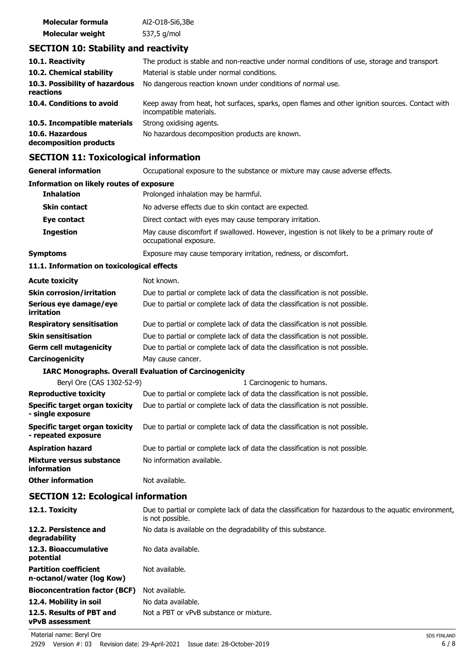| Molecular formula       | Al2-018-Si6,3Be |
|-------------------------|-----------------|
| <b>Molecular weight</b> | 537,5 g/mol     |

## **SECTION 10: Stability and reactivity**

| 10.1. Reactivity                            | The product is stable and non-reactive under normal conditions of use, storage and transport.                              |
|---------------------------------------------|----------------------------------------------------------------------------------------------------------------------------|
| 10.2. Chemical stability                    | Material is stable under normal conditions.                                                                                |
| 10.3. Possibility of hazardous<br>reactions | No dangerous reaction known under conditions of normal use.                                                                |
| 10.4. Conditions to avoid                   | Keep away from heat, hot surfaces, sparks, open flames and other ignition sources. Contact with<br>incompatible materials. |
| 10.5. Incompatible materials                | Strong oxidising agents.                                                                                                   |
| 10.6. Hazardous<br>decomposition products   | No hazardous decomposition products are known.                                                                             |

## **SECTION 11: Toxicological information**

| SLCTION II. TOXICOlOGICAI IIIIOHIAGUUI                |                                                                                                                          |  |  |
|-------------------------------------------------------|--------------------------------------------------------------------------------------------------------------------------|--|--|
| <b>General information</b>                            | Occupational exposure to the substance or mixture may cause adverse effects.                                             |  |  |
| <b>Information on likely routes of exposure</b>       |                                                                                                                          |  |  |
| <b>Inhalation</b>                                     | Prolonged inhalation may be harmful.                                                                                     |  |  |
| <b>Skin contact</b>                                   | No adverse effects due to skin contact are expected.                                                                     |  |  |
| Eye contact                                           | Direct contact with eyes may cause temporary irritation.                                                                 |  |  |
| <b>Ingestion</b>                                      | May cause discomfort if swallowed. However, ingestion is not likely to be a primary route of<br>occupational exposure.   |  |  |
| <b>Symptoms</b>                                       | Exposure may cause temporary irritation, redness, or discomfort.                                                         |  |  |
| 11.1. Information on toxicological effects            |                                                                                                                          |  |  |
| <b>Acute toxicity</b>                                 | Not known.                                                                                                               |  |  |
| <b>Skin corrosion/irritation</b>                      | Due to partial or complete lack of data the classification is not possible.                                              |  |  |
| Serious eye damage/eye<br>irritation                  | Due to partial or complete lack of data the classification is not possible.                                              |  |  |
| <b>Respiratory sensitisation</b>                      | Due to partial or complete lack of data the classification is not possible.                                              |  |  |
| <b>Skin sensitisation</b>                             | Due to partial or complete lack of data the classification is not possible.                                              |  |  |
| <b>Germ cell mutagenicity</b>                         | Due to partial or complete lack of data the classification is not possible.                                              |  |  |
| Carcinogenicity                                       | May cause cancer.                                                                                                        |  |  |
|                                                       | <b>IARC Monographs. Overall Evaluation of Carcinogenicity</b>                                                            |  |  |
| Beryl Ore (CAS 1302-52-9)                             | 1 Carcinogenic to humans.                                                                                                |  |  |
| <b>Reproductive toxicity</b>                          | Due to partial or complete lack of data the classification is not possible.                                              |  |  |
| Specific target organ toxicity<br>- single exposure   | Due to partial or complete lack of data the classification is not possible.                                              |  |  |
| Specific target organ toxicity<br>- repeated exposure | Due to partial or complete lack of data the classification is not possible.                                              |  |  |
| <b>Aspiration hazard</b>                              | Due to partial or complete lack of data the classification is not possible.                                              |  |  |
| Mixture versus substance<br>information               | No information available.                                                                                                |  |  |
| <b>Other information</b>                              | Not available.                                                                                                           |  |  |
| <b>SECTION 12: Ecological information</b>             |                                                                                                                          |  |  |
| 12.1. Toxicity                                        | Due to partial or complete lack of data the classification for hazardous to the aquatic environment,<br>is not possible. |  |  |
| 12.2. Persistence and<br>degradability                | No data is available on the degradability of this substance.                                                             |  |  |
| 12.3. Bioaccumulative<br>potential                    | No data available.                                                                                                       |  |  |

Not available.

**Partition coefficient n-octanol/water (log Kow)**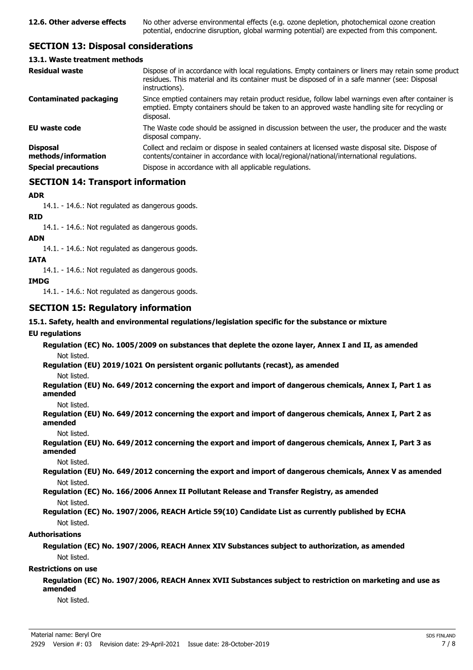## **SECTION 13: Disposal considerations**

#### **13.1. Waste treatment methods**

| <b>Residual waste</b>                                                | Dispose of in accordance with local regulations. Empty containers or liners may retain some product<br>residues. This material and its container must be disposed of in a safe manner (see: Disposal<br>instructions).                                |
|----------------------------------------------------------------------|-------------------------------------------------------------------------------------------------------------------------------------------------------------------------------------------------------------------------------------------------------|
| <b>Contaminated packaging</b>                                        | Since emptied containers may retain product residue, follow label warnings even after container is<br>emptied. Empty containers should be taken to an approved waste handling site for recycling or<br>disposal.                                      |
| <b>EU waste code</b>                                                 | The Waste code should be assigned in discussion between the user, the producer and the waste<br>disposal company.                                                                                                                                     |
| <b>Disposal</b><br>methods/information<br><b>Special precautions</b> | Collect and reclaim or dispose in sealed containers at licensed waste disposal site. Dispose of<br>contents/container in accordance with local/regional/national/international regulations.<br>Dispose in accordance with all applicable regulations. |
|                                                                      |                                                                                                                                                                                                                                                       |

## **SECTION 14: Transport information**

#### **ADR**

14.1. - 14.6.: Not regulated as dangerous goods.

**RID**

14.1. - 14.6.: Not regulated as dangerous goods.

#### **ADN**

14.1. - 14.6.: Not regulated as dangerous goods.

#### **IATA**

14.1. - 14.6.: Not regulated as dangerous goods.

#### **IMDG**

14.1. - 14.6.: Not regulated as dangerous goods.

### **SECTION 15: Regulatory information**

#### **15.1. Safety, health and environmental regulations/legislation specific for the substance or mixture**

#### **EU regulations**

**Regulation (EC) No. 1005/2009 on substances that deplete the ozone layer, Annex I and II, as amended** Not listed.

**Regulation (EU) 2019/1021 On persistent organic pollutants (recast), as amended**

Not listed.

**Regulation (EU) No. 649/2012 concerning the export and import of dangerous chemicals, Annex I, Part 1 as amended**

Not listed.

**Regulation (EU) No. 649/2012 concerning the export and import of dangerous chemicals, Annex I, Part 2 as amended**

Not listed.

**Regulation (EU) No. 649/2012 concerning the export and import of dangerous chemicals, Annex I, Part 3 as amended**

Not listed.

**Regulation (EU) No. 649/2012 concerning the export and import of dangerous chemicals, Annex V as amended** Not listed.

**Regulation (EC) No. 166/2006 Annex II Pollutant Release and Transfer Registry, as amended** Not listed.

#### **Regulation (EC) No. 1907/2006, REACH Article 59(10) Candidate List as currently published by ECHA** Not listed.

#### **Authorisations**

#### **Regulation (EC) No. 1907/2006, REACH Annex XIV Substances subject to authorization, as amended** Not listed.

#### **Restrictions on use**

**Regulation (EC) No. 1907/2006, REACH Annex XVII Substances subject to restriction on marketing and use as amended**

Not listed.